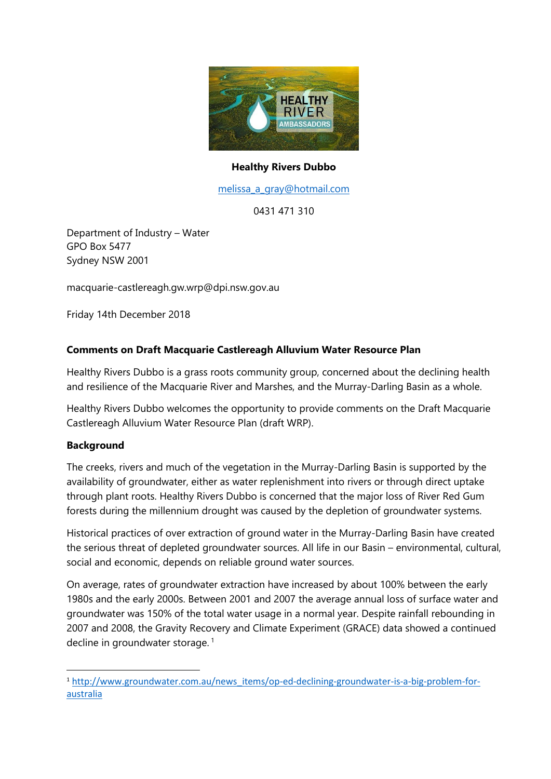

#### **Healthy Rivers Dubbo**

[melissa\\_a\\_gray@hotmail.com](mailto:melissa_a_gray@hotmail.com)

0431 471 310

Department of Industry – Water GPO Box 5477 Sydney NSW 2001

macquarie-castlereagh.gw.wrp@dpi.nsw.gov.au

Friday 14th December 2018

#### **Comments on Draft Macquarie Castlereagh Alluvium Water Resource Plan**

Healthy Rivers Dubbo is a grass roots community group, concerned about the declining health and resilience of the Macquarie River and Marshes, and the Murray-Darling Basin as a whole.

Healthy Rivers Dubbo welcomes the opportunity to provide comments on the Draft Macquarie Castlereagh Alluvium Water Resource Plan (draft WRP).

#### **Background**

**.** 

The creeks, rivers and much of the vegetation in the Murray-Darling Basin is supported by the availability of groundwater, either as water replenishment into rivers or through direct uptake through plant roots. Healthy Rivers Dubbo is concerned that the major loss of River Red Gum forests during the millennium drought was caused by the depletion of groundwater systems.

Historical practices of over extraction of ground water in the Murray-Darling Basin have created the serious threat of depleted groundwater sources. All life in our Basin – environmental, cultural, social and economic, depends on reliable ground water sources.

On average, rates of groundwater extraction have increased by about 100% between the early 1980s and the early 2000s. Between 2001 and 2007 the average annual loss of surface water and groundwater was 150% of the total water usage in a normal year. Despite rainfall rebounding in 2007 and 2008, the Gravity Recovery and Climate Experiment (GRACE) data showed a continued decline in groundwater storage.<sup>1</sup>

<sup>&</sup>lt;sup>1</sup> [http://www.groundwater.com.au/news\\_items/op-ed-declining-groundwater-is-a-big-problem-for](http://www.groundwater.com.au/news_items/op-ed-declining-groundwater-is-a-big-problem-for-australia)[australia](http://www.groundwater.com.au/news_items/op-ed-declining-groundwater-is-a-big-problem-for-australia)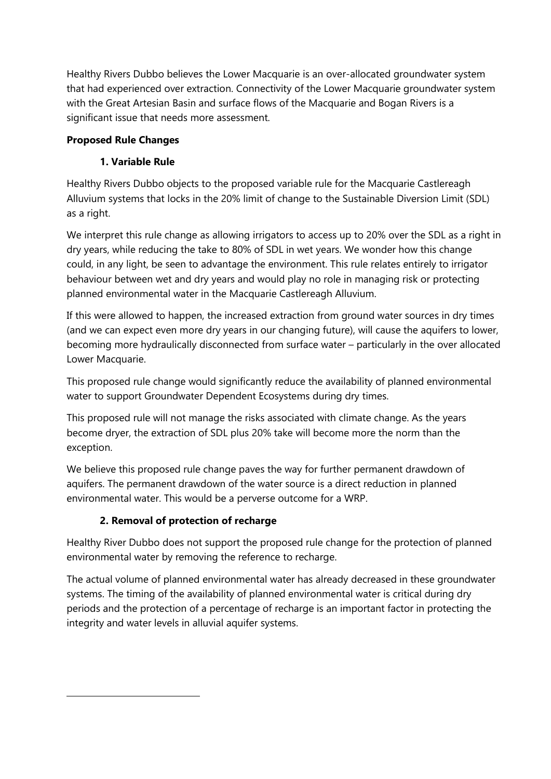Healthy Rivers Dubbo believes the Lower Macquarie is an over-allocated groundwater system that had experienced over extraction. Connectivity of the Lower Macquarie groundwater system with the Great Artesian Basin and surface flows of the Macquarie and Bogan Rivers is a significant issue that needs more assessment.

## **Proposed Rule Changes**

# **1. Variable Rule**

Healthy Rivers Dubbo objects to the proposed variable rule for the Macquarie Castlereagh Alluvium systems that locks in the 20% limit of change to the Sustainable Diversion Limit (SDL) as a right.

We interpret this rule change as allowing irrigators to access up to 20% over the SDL as a right in dry years, while reducing the take to 80% of SDL in wet years. We wonder how this change could, in any light, be seen to advantage the environment. This rule relates entirely to irrigator behaviour between wet and dry years and would play no role in managing risk or protecting planned environmental water in the Macquarie Castlereagh Alluvium.

If this were allowed to happen, the increased extraction from ground water sources in dry times (and we can expect even more dry years in our changing future), will cause the aquifers to lower, becoming more hydraulically disconnected from surface water – particularly in the over allocated Lower Macquarie.

This proposed rule change would significantly reduce the availability of planned environmental water to support Groundwater Dependent Ecosystems during dry times.

This proposed rule will not manage the risks associated with climate change. As the years become dryer, the extraction of SDL plus 20% take will become more the norm than the exception.

We believe this proposed rule change paves the way for further permanent drawdown of aquifers. The permanent drawdown of the water source is a direct reduction in planned environmental water. This would be a perverse outcome for a WRP.

## **2. Removal of protection of recharge**

**.** 

Healthy River Dubbo does not support the proposed rule change for the protection of planned environmental water by removing the reference to recharge.

The actual volume of planned environmental water has already decreased in these groundwater systems. The timing of the availability of planned environmental water is critical during dry periods and the protection of a percentage of recharge is an important factor in protecting the integrity and water levels in alluvial aquifer systems.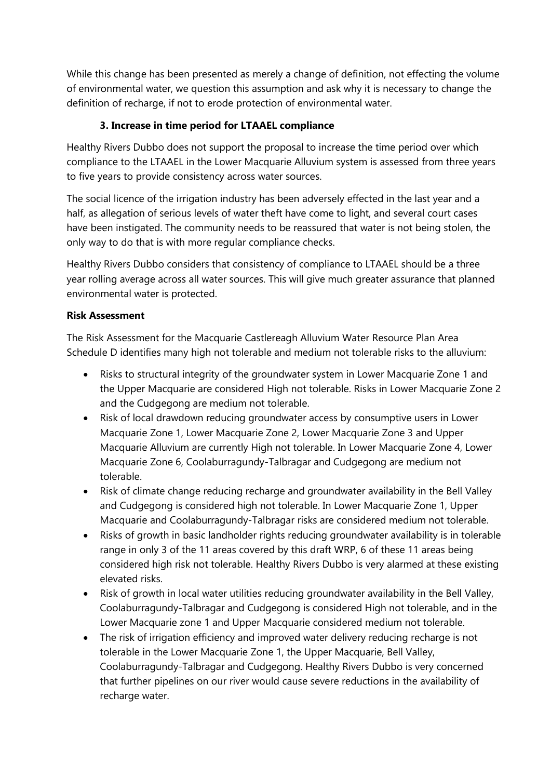While this change has been presented as merely a change of definition, not effecting the volume of environmental water, we question this assumption and ask why it is necessary to change the definition of recharge, if not to erode protection of environmental water.

## **3. Increase in time period for LTAAEL compliance**

Healthy Rivers Dubbo does not support the proposal to increase the time period over which compliance to the LTAAEL in the Lower Macquarie Alluvium system is assessed from three years to five years to provide consistency across water sources.

The social licence of the irrigation industry has been adversely effected in the last year and a half, as allegation of serious levels of water theft have come to light, and several court cases have been instigated. The community needs to be reassured that water is not being stolen, the only way to do that is with more regular compliance checks.

Healthy Rivers Dubbo considers that consistency of compliance to LTAAEL should be a three year rolling average across all water sources. This will give much greater assurance that planned environmental water is protected.

#### **Risk Assessment**

The Risk Assessment for the Macquarie Castlereagh Alluvium Water Resource Plan Area Schedule D identifies many high not tolerable and medium not tolerable risks to the alluvium:

- Risks to structural integrity of the groundwater system in Lower Macquarie Zone 1 and the Upper Macquarie are considered High not tolerable. Risks in Lower Macquarie Zone 2 and the Cudgegong are medium not tolerable.
- Risk of local drawdown reducing groundwater access by consumptive users in Lower Macquarie Zone 1, Lower Macquarie Zone 2, Lower Macquarie Zone 3 and Upper Macquarie Alluvium are currently High not tolerable. In Lower Macquarie Zone 4, Lower Macquarie Zone 6, Coolaburragundy-Talbragar and Cudgegong are medium not tolerable.
- Risk of climate change reducing recharge and groundwater availability in the Bell Valley and Cudgegong is considered high not tolerable. In Lower Macquarie Zone 1, Upper Macquarie and Coolaburragundy-Talbragar risks are considered medium not tolerable.
- Risks of growth in basic landholder rights reducing groundwater availability is in tolerable range in only 3 of the 11 areas covered by this draft WRP, 6 of these 11 areas being considered high risk not tolerable. Healthy Rivers Dubbo is very alarmed at these existing elevated risks.
- Risk of growth in local water utilities reducing groundwater availability in the Bell Valley, Coolaburragundy-Talbragar and Cudgegong is considered High not tolerable, and in the Lower Macquarie zone 1 and Upper Macquarie considered medium not tolerable.
- The risk of irrigation efficiency and improved water delivery reducing recharge is not tolerable in the Lower Macquarie Zone 1, the Upper Macquarie, Bell Valley, Coolaburragundy-Talbragar and Cudgegong. Healthy Rivers Dubbo is very concerned that further pipelines on our river would cause severe reductions in the availability of recharge water.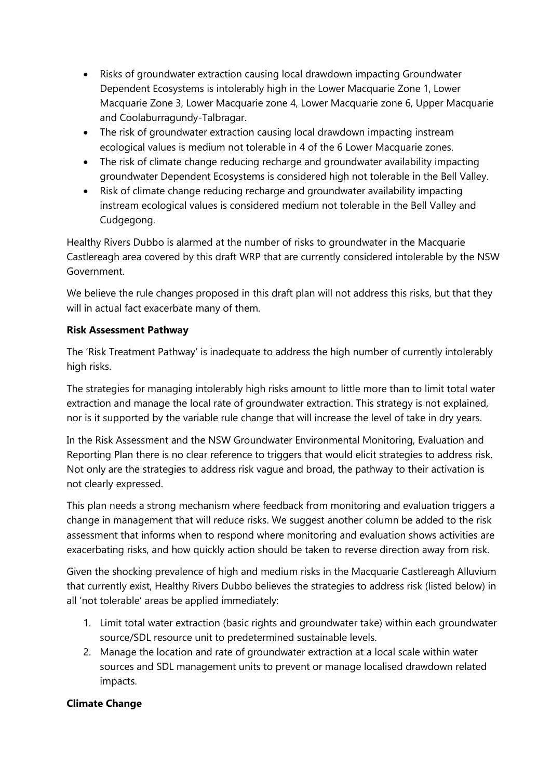- Risks of groundwater extraction causing local drawdown impacting Groundwater Dependent Ecosystems is intolerably high in the Lower Macquarie Zone 1, Lower Macquarie Zone 3, Lower Macquarie zone 4, Lower Macquarie zone 6, Upper Macquarie and Coolaburragundy-Talbragar.
- The risk of groundwater extraction causing local drawdown impacting instream ecological values is medium not tolerable in 4 of the 6 Lower Macquarie zones.
- The risk of climate change reducing recharge and groundwater availability impacting groundwater Dependent Ecosystems is considered high not tolerable in the Bell Valley.
- Risk of climate change reducing recharge and groundwater availability impacting instream ecological values is considered medium not tolerable in the Bell Valley and Cudgegong.

Healthy Rivers Dubbo is alarmed at the number of risks to groundwater in the Macquarie Castlereagh area covered by this draft WRP that are currently considered intolerable by the NSW Government.

We believe the rule changes proposed in this draft plan will not address this risks, but that they will in actual fact exacerbate many of them.

#### **Risk Assessment Pathway**

The 'Risk Treatment Pathway' is inadequate to address the high number of currently intolerably high risks.

The strategies for managing intolerably high risks amount to little more than to limit total water extraction and manage the local rate of groundwater extraction. This strategy is not explained, nor is it supported by the variable rule change that will increase the level of take in dry years.

In the Risk Assessment and the NSW Groundwater Environmental Monitoring, Evaluation and Reporting Plan there is no clear reference to triggers that would elicit strategies to address risk. Not only are the strategies to address risk vague and broad, the pathway to their activation is not clearly expressed.

This plan needs a strong mechanism where feedback from monitoring and evaluation triggers a change in management that will reduce risks. We suggest another column be added to the risk assessment that informs when to respond where monitoring and evaluation shows activities are exacerbating risks, and how quickly action should be taken to reverse direction away from risk.

Given the shocking prevalence of high and medium risks in the Macquarie Castlereagh Alluvium that currently exist, Healthy Rivers Dubbo believes the strategies to address risk (listed below) in all 'not tolerable' areas be applied immediately:

- 1. Limit total water extraction (basic rights and groundwater take) within each groundwater source/SDL resource unit to predetermined sustainable levels.
- 2. Manage the location and rate of groundwater extraction at a local scale within water sources and SDL management units to prevent or manage localised drawdown related impacts.

## **Climate Change**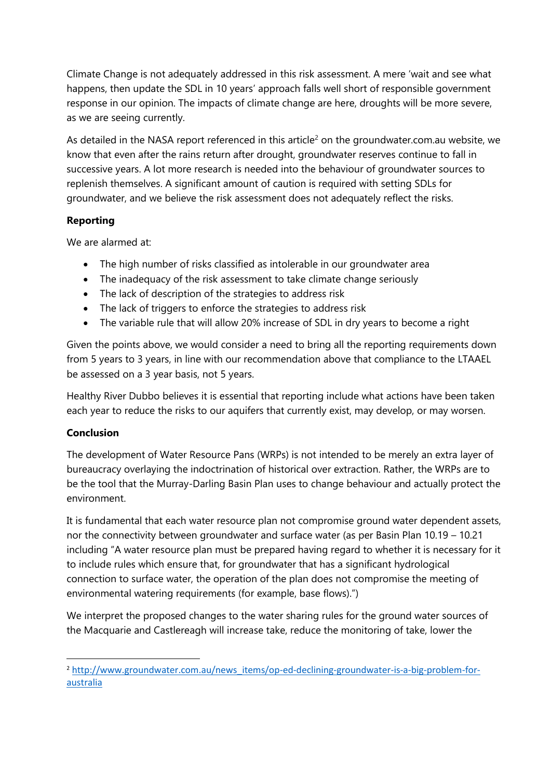Climate Change is not adequately addressed in this risk assessment. A mere 'wait and see what happens, then update the SDL in 10 years' approach falls well short of responsible government response in our opinion. The impacts of climate change are here, droughts will be more severe, as we are seeing currently.

As detailed in the NASA report referenced in this article<sup>2</sup> on the groundwater.com.au website, we know that even after the rains return after drought, groundwater reserves continue to fall in successive years. A lot more research is needed into the behaviour of groundwater sources to replenish themselves. A significant amount of caution is required with setting SDLs for groundwater, and we believe the risk assessment does not adequately reflect the risks.

## **Reporting**

We are alarmed at:

- The high number of risks classified as intolerable in our groundwater area
- The inadequacy of the risk assessment to take climate change seriously
- The lack of description of the strategies to address risk
- The lack of triggers to enforce the strategies to address risk
- The variable rule that will allow 20% increase of SDL in dry years to become a right

Given the points above, we would consider a need to bring all the reporting requirements down from 5 years to 3 years, in line with our recommendation above that compliance to the LTAAEL be assessed on a 3 year basis, not 5 years.

Healthy River Dubbo believes it is essential that reporting include what actions have been taken each year to reduce the risks to our aquifers that currently exist, may develop, or may worsen.

## **Conclusion**

 $\overline{\phantom{a}}$ 

The development of Water Resource Pans (WRPs) is not intended to be merely an extra layer of bureaucracy overlaying the indoctrination of historical over extraction. Rather, the WRPs are to be the tool that the Murray-Darling Basin Plan uses to change behaviour and actually protect the environment.

It is fundamental that each water resource plan not compromise ground water dependent assets, nor the connectivity between groundwater and surface water (as per Basin Plan 10.19 – 10.21 including "A water resource plan must be prepared having regard to whether it is necessary for it to include rules which ensure that, for groundwater that has a significant hydrological connection to surface water, the operation of the plan does not compromise the meeting of environmental watering requirements (for example, base flows).")

We interpret the proposed changes to the water sharing rules for the ground water sources of the Macquarie and Castlereagh will increase take, reduce the monitoring of take, lower the

<sup>&</sup>lt;sup>2</sup> [http://www.groundwater.com.au/news\\_items/op-ed-declining-groundwater-is-a-big-problem-for](http://www.groundwater.com.au/news_items/op-ed-declining-groundwater-is-a-big-problem-for-australia)[australia](http://www.groundwater.com.au/news_items/op-ed-declining-groundwater-is-a-big-problem-for-australia)